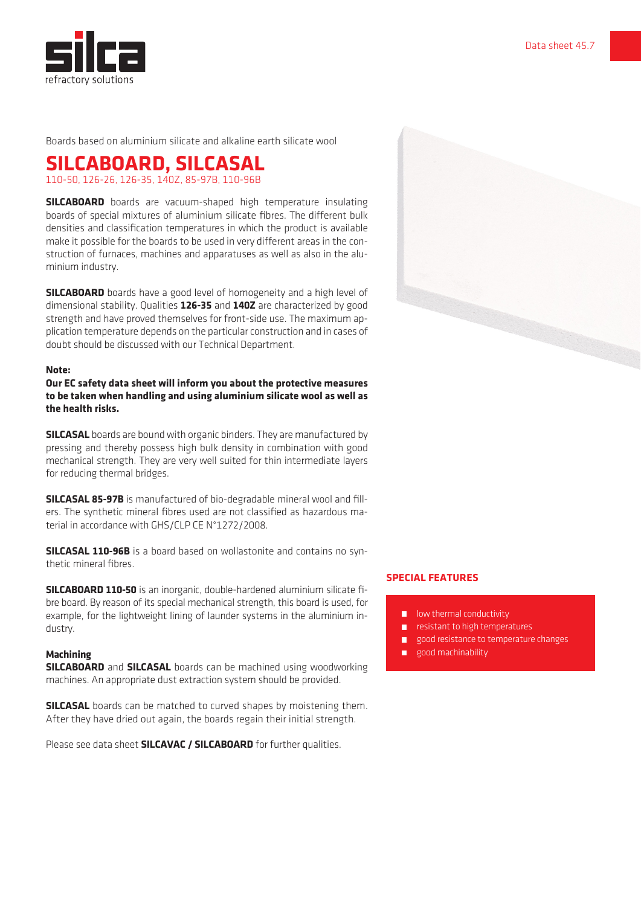

Boards based on aluminium silicate and alkaline earth silicate wool

# **SILCABOARD, SILCASAL**

110-50, 126-26, 126-35, 140Z, 85-97B, 110-96B

**SILCABOARD** boards are vacuum-shaped high temperature insulating boards of special mixtures of aluminium silicate fibres. The different bulk densities and classification temperatures in which the product is available make it possible for the boards to be used in very different areas in the construction of furnaces, machines and apparatuses as well as also in the aluminium industry.

**SILCABOARD** boards have a good level of homogeneity and a high level of dimensional stability. Qualities **126-35** and **140Z** are characterized by good strength and have proved themselves for front-side use. The maximum application temperature depends on the particular construction and in cases of doubt should be discussed with our Technical Department.

#### **Note:**

**Our EC safety data sheet will inform you about the protective measures to be taken when handling and using aluminium silicate wool as well as the health risks.**

**SILCASAL** boards are bound with organic binders. They are manufactured by pressing and thereby possess high bulk density in combination with good mechanical strength. They are very well suited for thin intermediate layers for reducing thermal bridges.

**SILCASAL 85-97B** is manufactured of bio-degradable mineral wool and fillers. The synthetic mineral fibres used are not classified as hazardous material in accordance with GHS/CLP CE N°1272/2008.

**SILCASAL 110-96B** is a board based on wollastonite and contains no synthetic mineral fibres.

**SILCABOARD 110-50** is an inorganic, double-hardened aluminium silicate fibre board. By reason of its special mechanical strength, this board is used, for example, for the lightweight lining of launder systems in the aluminium industry.

#### **Machining**

**SILCABOARD** and **SILCASAL** boards can be machined using woodworking machines. An appropriate dust extraction system should be provided.

**SILCASAL** boards can be matched to curved shapes by moistening them. After they have dried out again, the boards regain their initial strength.

Please see data sheet **SILCAVAC / SILCABOARD** for further qualities.



### **SPECIAL FEATURES**

- $\blacksquare$  low thermal conductivity
- resistant to high temperatures
- good resistance to temperature changes
- good machinability